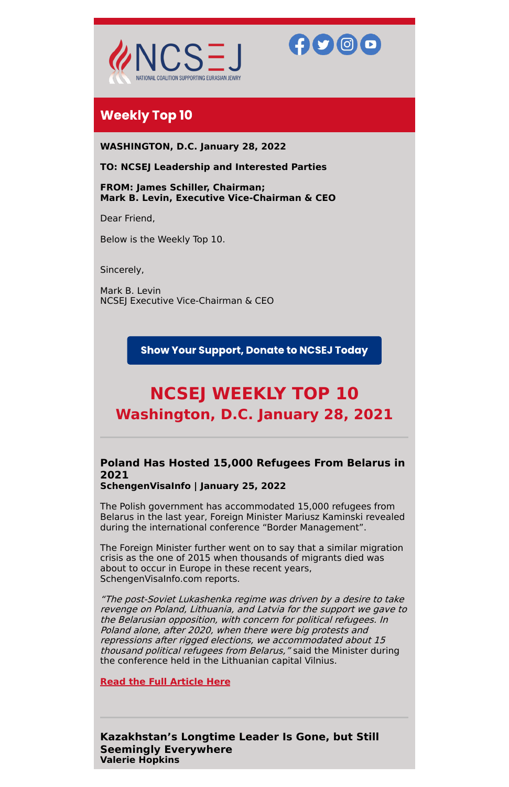



# **Weekly Top 10**

**WASHINGTON, D.C. January 28, 2022**

**TO: NCSEJ Leadership and Interested Parties**

**FROM: James Schiller, Chairman; Mark B. Levin, Executive Vice-Chairman & CEO**

Dear Friend,

Below is the Weekly Top 10.

Sincerely,

Mark B. Levin NCSEJ Executive Vice-Chairman & CEO

## **Show Your Support, Donate to NCSEJ Today**

# **NCSEJ WEEKLY TOP 10 Washington, D.C. January 28, 2021**

# **Poland Has Hosted 15,000 Refugees From Belarus in 2021**

**SchengenVisaInfo | January 25, 2022**

The Polish government has accommodated 15,000 refugees from Belarus in the last year, Foreign Minister Mariusz Kaminski revealed during the international conference "Border Management".

The Foreign Minister further went on to say that a similar migration crisis as the one of 2015 when thousands of migrants died was about to occur in Europe in these recent years,

SchengenVisaInfo.com reports.

"The post-Soviet Lukashenka regime was driven by <sup>a</sup> desire to take revenge on Poland, Lithuania, and Latvia for the support we gave to the Belarusian opposition, with concern for political refugees. In Poland alone, after 2020, when there were big protests and repressions after rigged elections, we accommodated about 15 thousand political refugees from Belarus," said the Minister during the conference held in the Lithuanian capital Vilnius.

**Read the Full [Article](https://www.schengenvisainfo.com/news/poland-has-hosted-15000-refugees-from-belarus-in-2021/) Here**

**Kazakhstan's Longtime Leader Is Gone, but Still Seemingly Everywhere Valerie Hopkins**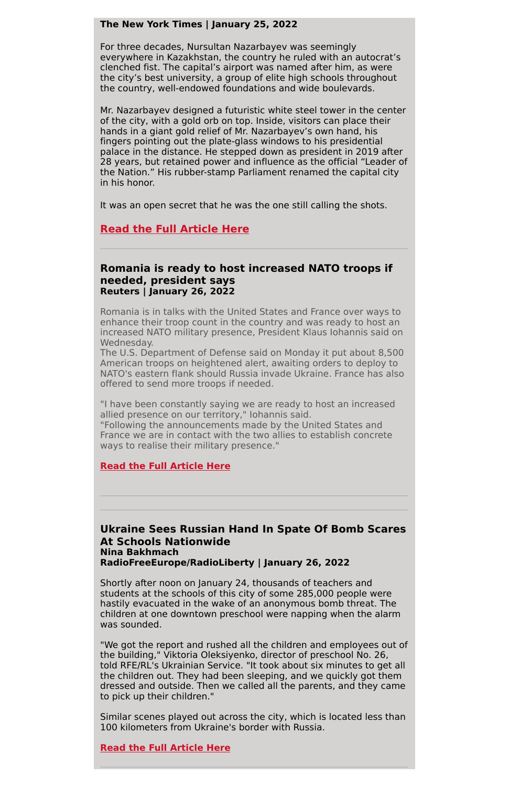#### **The New York Times | January 25, 2022**

For three decades, Nursultan Nazarbayev was seemingly everywhere in Kazakhstan, the country he ruled with an autocrat's clenched fist. The capital's airport was named after him, as were the city's best university, a group of elite high schools throughout the country, well-endowed foundations and wide boulevards.

Mr. Nazarbayev designed a futuristic white steel tower in the center of the city, with a gold orb on top. Inside, visitors can place their hands in a giant gold relief of Mr. Nazarbayev's own hand, his fingers pointing out the plate-glass windows to his presidential palace in the distance. He stepped down as president in 2019 after 28 years, but retained power and influence as the official "Leader of the Nation." His rubber-stamp Parliament renamed the capital city in his honor.

It was an open secret that he was the one still calling the shots.

## **Read the Full [Article](https://www.nytimes.com/2022/01/25/world/europe/kazakhstan-nursultan-nazarbayev.html) Here**

#### **Romania is ready to host increased NATO troops if needed, president says Reuters | January 26, 2022**

Romania is in talks with the United States and France over ways to enhance their troop count in the country and was ready to host an increased NATO military presence, President Klaus Iohannis said on Wednesday.

The U.S. Department of Defense said on Monday it put about 8,500 American troops on heightened alert, awaiting orders to deploy to NATO's eastern flank should Russia invade Ukraine. France has also offered to send more troops if needed.

"I have been constantly saying we are ready to host an increased allied presence on our territory," Iohannis said. "Following the announcements made by the United States and France we are in contact with the two allies to establish concrete ways to realise their military presence."

#### **Read the Full [Article](https://www.reuters.com/world/romania-is-ready-host-increased-nato-troops-if-needed-president-says-2022-01-26/) Here**

**Ukraine Sees Russian Hand In Spate Of Bomb Scares At Schools Nationwide Nina Bakhmach RadioFreeEurope/RadioLiberty | January 26, 2022**

Shortly after noon on January 24, thousands of teachers and students at the schools of this city of some 285,000 people were hastily evacuated in the wake of an anonymous bomb threat. The children at one downtown preschool were napping when the alarm was sounded.

"We got the report and rushed all the children and employees out of the building," Viktoria Oleksiyenko, director of preschool No. 26, told RFE/RL's Ukrainian Service. "It took about six minutes to get all the children out. They had been sleeping, and we quickly got them dressed and outside. Then we called all the parents, and they came to pick up their children."

Similar scenes played out across the city, which is located less than 100 kilometers from Ukraine's border with Russia.

**Read the Full [Article](https://www.rferl.org/a/urkaine-bomb-scares-russia/31672638.html) Here**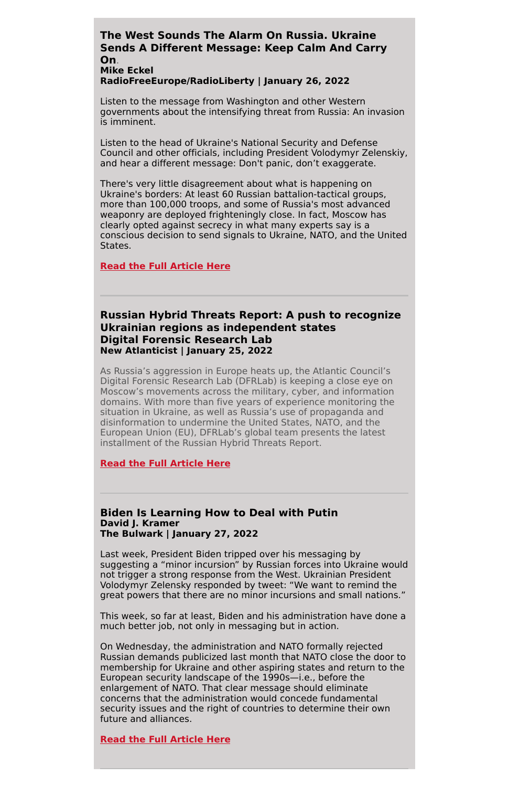#### **The West Sounds The Alarm On Russia. Ukraine Sends A Different Message: Keep Calm And Carry On**. **Mike Eckel**

# **RadioFreeEurope/RadioLiberty | January 26, 2022**

Listen to the message from Washington and other Western governments about the intensifying threat from Russia: An invasion is imminent.

Listen to the head of Ukraine's National Security and Defense Council and other officials, including President Volodymyr Zelenskiy, and hear a different message: Don't panic, don't exaggerate.

There's very little disagreement about what is happening on Ukraine's borders: At least 60 Russian battalion-tactical groups, more than 100,000 troops, and some of Russia's most advanced weaponry are deployed frighteningly close. In fact, Moscow has clearly opted against secrecy in what many experts say is a conscious decision to send signals to Ukraine, NATO, and the United States.

#### **Read the Full [Article](https://www.rferl.org/a/ukraine-invasion-message-calm-russia/31672869.html) Here**

#### **Russian Hybrid Threats Report: A push to recognize Ukrainian regions as independent states Digital Forensic Research Lab New Atlanticist | January 25, 2022**

As Russia's aggression in Europe heats up, the Atlantic Council's Digital Forensic Research Lab (DFRLab) is keeping a close eye on Moscow's movements across the military, cyber, and information domains. With more than five years of experience monitoring the situation in Ukraine, as well as Russia's use of propaganda and disinformation to undermine the United States, NATO, and the European Union (EU), DFRLab's global team presents the latest installment of the Russian Hybrid Threats Report.

#### **Read the Full [Article](https://www.rferl.org/a/belarus-lukashenka-constitutional-amendments/31663697.html) Here**

#### **Biden Is Learning How to Deal with Putin David J. Kramer The Bulwark | January 27, 2022**

Last week, President Biden tripped over his messaging by suggesting a "minor incursion" by Russian forces into Ukraine would not trigger a strong response from the West. Ukrainian President Volodymyr Zelensky responded by tweet: "We want to remind the great powers that there are no minor incursions and small nations."

This week, so far at least, Biden and his administration have done a much better job, not only in messaging but in action.

On Wednesday, the administration and NATO formally rejected Russian demands publicized last month that NATO close the door to membership for Ukraine and other aspiring states and return to the European security landscape of the 1990s—i.e., before the enlargement of NATO. That clear message should eliminate concerns that the administration would concede fundamental security issues and the right of countries to determine their own future and alliances.

**Read the Full [Article](https://www.thebulwark.com/biden-is-learning-how-to-deal-with-putin/) Here**